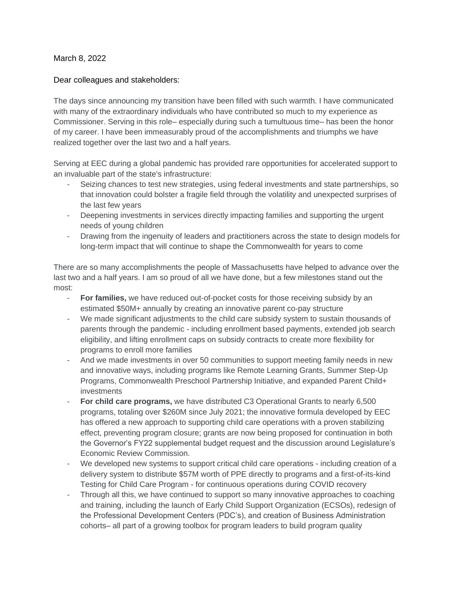March 8, 2022

## Dear colleagues and stakeholders:

The days since announcing my transition have been filled with such warmth. I have communicated with many of the extraordinary individuals who have contributed so much to my experience as Commissioner. Serving in this role– especially during such a tumultuous time– has been the honor of my career. I have been immeasurably proud of the accomplishments and triumphs we have realized together over the last two and a half years.

Serving at EEC during a global pandemic has provided rare opportunities for accelerated support to an invaluable part of the state's infrastructure:

- Seizing chances to test new strategies, using federal investments and state partnerships, so that innovation could bolster a fragile field through the volatility and unexpected surprises of the last few years
- Deepening investments in services directly impacting families and supporting the urgent needs of young children
- Drawing from the ingenuity of leaders and practitioners across the state to design models for long-term impact that will continue to shape the Commonwealth for years to come

There are so many accomplishments the people of Massachusetts have helped to advance over the last two and a half years. I am so proud of all we have done, but a few milestones stand out the most:

- For families, we have reduced out-of-pocket costs for those receiving subsidy by an estimated \$50M+ annually by creating an innovative parent co-pay structure
- We made significant adjustments to the child care subsidy system to sustain thousands of parents through the pandemic - including enrollment based payments, extended job search eligibility, and lifting enrollment caps on subsidy contracts to create more flexibility for programs to enroll more families
- And we made investments in over 50 communities to support meeting family needs in new and innovative ways, including programs like Remote Learning Grants, Summer Step-Up Programs, Commonwealth Preschool Partnership Initiative, and expanded Parent Child+ investments
- For child care programs, we have distributed C3 Operational Grants to nearly 6,500 programs, totaling over \$260M since July 2021; the innovative formula developed by EEC has offered a new approach to supporting child care operations with a proven stabilizing effect, preventing program closure; grants are now being proposed for continuation in both the Governor's FY22 supplemental budget request and the discussion around Legislature's Economic Review Commission.
- We developed new systems to support critical child care operations including creation of a delivery system to distribute \$57M worth of PPE directly to programs and a first-of-its-kind Testing for Child Care Program - for continuous operations during COVID recovery
- Through all this, we have continued to support so many innovative approaches to coaching and training, including the launch of Early Child Support Organization (ECSOs), redesign of the Professional Development Centers (PDC's), and creation of Business Administration cohorts– all part of a growing toolbox for program leaders to build program quality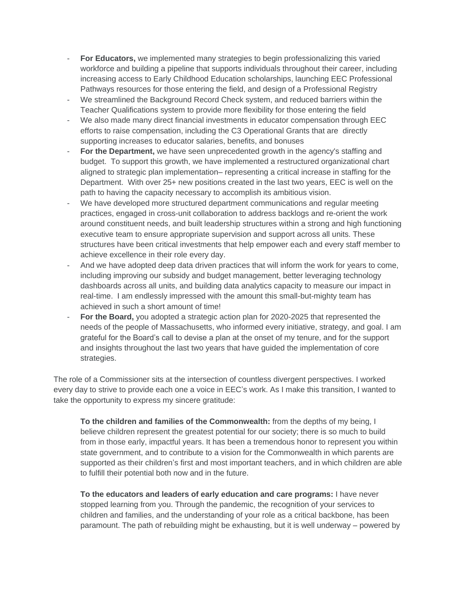- **For Educators,** we implemented many strategies to begin professionalizing this varied workforce and building a pipeline that supports individuals throughout their career, including increasing access to Early Childhood Education scholarships, launching EEC Professional Pathways resources for those entering the field, and design of a Professional Registry
- We streamlined the Background Record Check system, and reduced barriers within the Teacher Qualifications system to provide more flexibility for those entering the field
- We also made many direct financial investments in educator compensation through EEC efforts to raise compensation, including the C3 Operational Grants that are directly supporting increases to educator salaries, benefits, and bonuses
- For the Department, we have seen unprecedented growth in the agency's staffing and budget. To support this growth, we have implemented a restructured organizational chart aligned to strategic plan implementation– representing a critical increase in staffing for the Department. With over 25+ new positions created in the last two years, EEC is well on the path to having the capacity necessary to accomplish its ambitious vision.
- We have developed more structured department communications and regular meeting practices, engaged in cross-unit collaboration to address backlogs and re-orient the work around constituent needs, and built leadership structures within a strong and high functioning executive team to ensure appropriate supervision and support across all units. These structures have been critical investments that help empower each and every staff member to achieve excellence in their role every day.
- And we have adopted deep data driven practices that will inform the work for years to come, including improving our subsidy and budget management, better leveraging technology dashboards across all units, and building data analytics capacity to measure our impact in real-time. I am endlessly impressed with the amount this small-but-mighty team has achieved in such a short amount of time!
- **For the Board,** you adopted a strategic action plan for 2020-2025 that represented the needs of the people of Massachusetts, who informed every initiative, strategy, and goal. I am grateful for the Board's call to devise a plan at the onset of my tenure, and for the support and insights throughout the last two years that have guided the implementation of core strategies.

The role of a Commissioner sits at the intersection of countless divergent perspectives. I worked every day to strive to provide each one a voice in EEC's work. As I make this transition, I wanted to take the opportunity to express my sincere gratitude:

**To the children and families of the Commonwealth:** from the depths of my being, I believe children represent the greatest potential for our society; there is so much to build from in those early, impactful years. It has been a tremendous honor to represent you within state government, and to contribute to a vision for the Commonwealth in which parents are supported as their children's first and most important teachers, and in which children are able to fulfill their potential both now and in the future.

**To the educators and leaders of early education and care programs:** I have never stopped learning from you. Through the pandemic, the recognition of your services to children and families, and the understanding of your role as a critical backbone, has been paramount. The path of rebuilding might be exhausting, but it is well underway – powered by